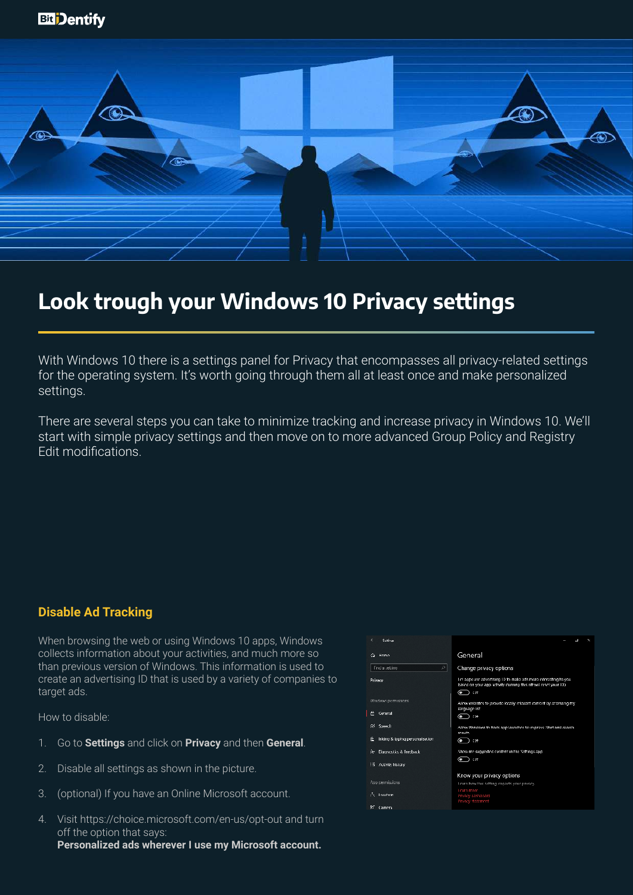

# **Look trough your Windows 10 Privacy settings**

With Windows 10 there is a settings panel for Privacy that encompasses all privacy-related settings for the operating system. It's worth going through them all at least once and make personalized settings.

There are several steps you can take to minimize tracking and increase privacy in Windows 10. We'll start with simple privacy settings and then move on to more advanced Group Policy and Registry Edit modifications.

#### **Disable Ad Tracking**

When browsing the web or using Windows 10 apps, Windows collects information about your activities, and much more so than previous version of Windows. This information is used to create an advertising ID that is used by a variety of companies to target ads.

- 1. Go to **Settings** and click on **Privacy** and then **General**.
- 2. Disable all settings as shown in the picture.
- 3. (optional) If you have an Online Microsoft account.
- 4. Visit https://choice.microsoft.com/en-us/opt-out and turn off the option that says: **Personalized ads wherever I use my Microsoft account.**

| ¢<br>Suttimas                                            |                                                                                                                                           |
|----------------------------------------------------------|-------------------------------------------------------------------------------------------------------------------------------------------|
| G Home                                                   | General                                                                                                                                   |
| ₽<br><b>Find a setting</b>                               | Change privacy options                                                                                                                    |
| Privacy                                                  | Let apps use advertising E) to make ads more interesting to you<br>based on your app achidly (turning this off will reset your ID.)<br>●ື |
| Windows permissions<br>E General                         | Allow websites to provide locally relevant content by accessing my<br>language list<br>(● ) াো                                            |
| 88 Speech<br>É.<br>Inking & typing personalisation       | Allow Windows to track app launches to improve Start and search<br>results.<br>$\odot$ in                                                 |
| Ry Diagnostics & Reedback<br><b>Eli Activity history</b> | Show me suggested content in the Settings app<br>۰<br>320                                                                                 |
| App permissions                                          | Know your privacy options<br>Learn how this setting impacts your powery.<br><b>Learn more</b>                                             |
| $\tilde{c}$ . Togetion<br>œ<br>Camera                    | Privacy dashboard<br><b>Privacy statement</b>                                                                                             |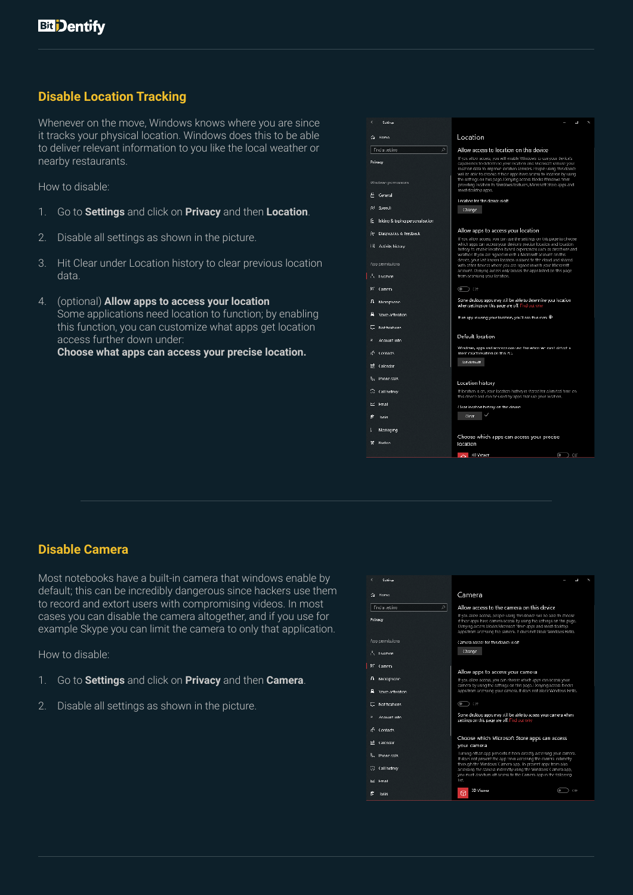# **Disable Location Tracking**

Whenever on the move, Windows knows where you are since it tracks your physical location. Windows does this to be able to deliver relevant information to you like the local weather or nearby restaurants.

How to disable:

- 1. Go to **Settings** and click on **Privacy** and then **Location**.
- 2. Disable all settings as shown in the picture.
- 3. Hit Clear under Location history to clear previous location data.
- 4. (optional) **Allow apps to access your location** Some applications need location to function; by enabling this function, you can customize what apps get location access further down under:

**Choose what apps can access your precise location.**

|    | Suttimas                            | L.                                                                                                                                                                                                                                                                                         |  |
|----|-------------------------------------|--------------------------------------------------------------------------------------------------------------------------------------------------------------------------------------------------------------------------------------------------------------------------------------------|--|
| G. | <b>Home</b>                         | Location                                                                                                                                                                                                                                                                                   |  |
|    | л<br><b>Find a setting</b>          | Allow access to location on this device                                                                                                                                                                                                                                                    |  |
|    | Privacy                             | If you allow access, you will enable Windows to use your device's<br>capabilities to determine your location and Microsoft will use your<br>location data to improve location services. People using this device.<br>will be able to choose if their apps have access to location by using |  |
|    | Windows permissions                 | the settings on this page. Denying access blocks Windows from<br>providing location to Windows teatures, Microsoft Store apps and<br>most desidos apps.                                                                                                                                    |  |
|    | General                             | Location for this device is off                                                                                                                                                                                                                                                            |  |
|    | R <sup>(</sup> Speech               | Change                                                                                                                                                                                                                                                                                     |  |
| в  | Inking & typing personalisation     |                                                                                                                                                                                                                                                                                            |  |
|    | Pr Diagnostics & Teedback           | Allow apps to access your location                                                                                                                                                                                                                                                         |  |
|    | <b>Eli</b> Adivity history          | If you allow access, you can use the settings on this page to choose<br>which apps can access your device's precise location and location.<br>history to enable location, based experiences such as directions and<br>weather. If you are signed in with a Microsoft account on this       |  |
|    | App permissions                     | device, your last known location is saved to the cloud and shared<br>with other devices where you are signed in with your Microsoft.<br>account. Denying access only blocks the apps listed on this page                                                                                   |  |
|    | $\tilde{f}_L$ . Location            | trom accessing your location.                                                                                                                                                                                                                                                              |  |
|    | <b>CC</b> Camera                    | $\circ$ on                                                                                                                                                                                                                                                                                 |  |
| л  | Microphone                          | Some desktop apps may still be able to determine your location.<br>when settings on this page are off. Find out why                                                                                                                                                                        |  |
|    | Voice activation                    | It an app is using your location, you'll see this learn $\circledast$                                                                                                                                                                                                                      |  |
|    | E. Notifications                    |                                                                                                                                                                                                                                                                                            |  |
|    | Account into                        | Default location                                                                                                                                                                                                                                                                           |  |
|    | Contacts                            | Windows, apps and services can use this when we can't detect a<br>more exact location on this ISC.                                                                                                                                                                                         |  |
|    | $\overline{\mathrm{nt}}$ . Calcudar | <b>Set detault</b>                                                                                                                                                                                                                                                                         |  |
|    | $\mathbb{Q}_2$ . Phone calls        | Location history                                                                                                                                                                                                                                                                           |  |
|    | ⊙ (all history                      | If location is on, your location history is stored for a limited time on.<br>this downe and can be used by apps that use your location.                                                                                                                                                    |  |
|    | DC Email                            | Clear location history on this device                                                                                                                                                                                                                                                      |  |
| е  | lasks                               | (Jean)                                                                                                                                                                                                                                                                                     |  |
|    | Messaging                           |                                                                                                                                                                                                                                                                                            |  |
| н  | <b>Radios</b>                       | Choose which apps can access your precise<br>location                                                                                                                                                                                                                                      |  |
|    |                                     |                                                                                                                                                                                                                                                                                            |  |

#### **Disable Camera**

Most notebooks have a built-in camera that windows enable by default; this can be incredibly dangerous since hackers use them to record and extort users with compromising videos. In most cases you can disable the camera altogether, and if you use for example Skype you can limit the camera to only that application.

- 1. Go to **Settings** and click on **Privacy** and then **Camera**.
- 2. Disable all settings as shown in the picture.

| ĸ<br>Suttings                    |                                                                                                                                                                                                                                                                                 |
|----------------------------------|---------------------------------------------------------------------------------------------------------------------------------------------------------------------------------------------------------------------------------------------------------------------------------|
| Home<br>↷                        | Camera                                                                                                                                                                                                                                                                          |
| л<br><b>Find a setting</b>       | Allow access to the camera on this device                                                                                                                                                                                                                                       |
| Privacy                          | If you allow access, people using this device will be able to choose<br>if their apps have camera access by using the settings on this page.<br>Denying access blocks Microsoft Store apps and most desktop<br>apps from accessing the camera. If does not block Windows Hello. |
| App permissions                  | Camera access for this device is off.                                                                                                                                                                                                                                           |
| G. Location                      | Change                                                                                                                                                                                                                                                                          |
| m<br>- Camera                    |                                                                                                                                                                                                                                                                                 |
|                                  | Allow apps to access your camera                                                                                                                                                                                                                                                |
| ш<br>Microphone                  | If you allow access, you can choose which apps can access your                                                                                                                                                                                                                  |
| Voice activation                 | camera by using the settings on this page. Denying acress blocks<br>apps from accessing your camera. If does not block Windows Hello.                                                                                                                                           |
| Notifications<br>⊏               | 4.200<br>œ                                                                                                                                                                                                                                                                      |
| я<br>Account into                | Some desktop apps may still be able to access your camera when<br>settings on this page are off. Find out why                                                                                                                                                                   |
| æ.<br>Contacts                   |                                                                                                                                                                                                                                                                                 |
| $\overline{\mathbf{H}}$ Calendar | Choose which Microsoft Store apps can access                                                                                                                                                                                                                                    |
|                                  | your camera                                                                                                                                                                                                                                                                     |
| 8- Phone calls                   | Turning off an app prevents if from directly accessing your camera.<br>If does not prevent the app trom accessing the cameral ndirectly                                                                                                                                         |
| G<br>Call history                | through the Windows' Camera app. To provent apps from also<br>accessing the camera indirectly using the Windows' Camera app,                                                                                                                                                    |
|                                  | you must also turn off access to the Camera app in the following.<br>list.                                                                                                                                                                                                      |
| E≤ Fmail                         |                                                                                                                                                                                                                                                                                 |
| Inche                            | 3D Viewer<br>œ<br>Off<br>67                                                                                                                                                                                                                                                     |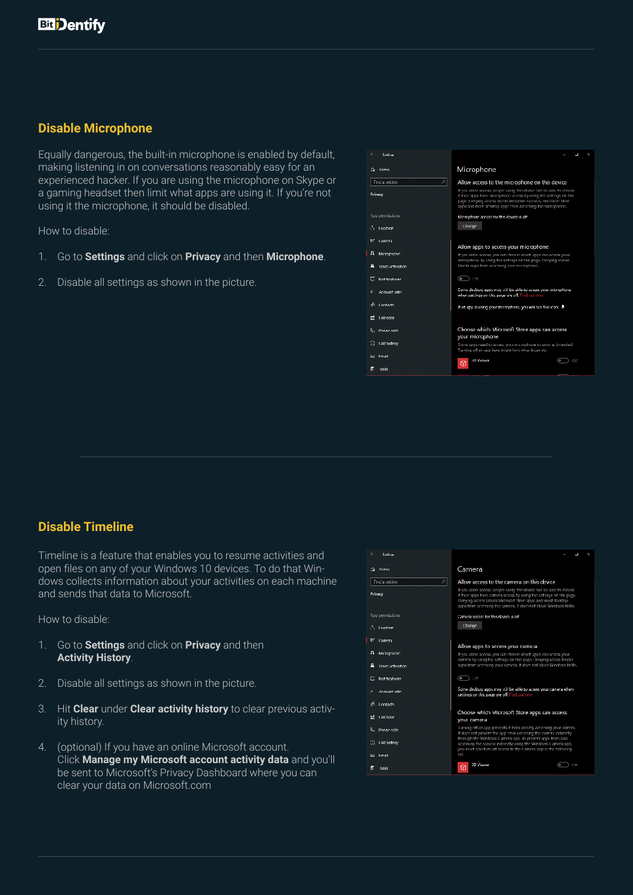### **Disable Microphone**

Equally dangerous, the built-in microphone is enabled by default, making listening in on conversations reasonably easy for an experienced hacker. If you are using the microphone on Skype or a gaming headset then limit what apps are using it. If you're not using it the microphone, it should be disabled.

How to disable:

- 1. Go to **Settings** and click on **Privacy** and then **Microphone**.
- 2. Disable all settings as shown in the picture.

|         | <b>Suttings</b>              | ŋ                                                                                                                                                                                                                                                                         |
|---------|------------------------------|---------------------------------------------------------------------------------------------------------------------------------------------------------------------------------------------------------------------------------------------------------------------------|
| ⋒       | Home                         | Microphone                                                                                                                                                                                                                                                                |
|         | 회<br><b>Find a setting</b>   | Allow access to the microphone on this device                                                                                                                                                                                                                             |
| Privacy |                              | If you allow access, people using this device will be able to choose<br>if their apps have microphone access by using the settings on this.<br>page. Denying access blocks Windows teatures, Microsoft Store<br>apps and most desktop apps from accessing the microphone. |
|         | App permissions.             | Microphone acress for this device is off                                                                                                                                                                                                                                  |
|         | ∄∟ Location                  | Change                                                                                                                                                                                                                                                                    |
| ΙGΓ     | Camera                       | Allow apps to access your microphone                                                                                                                                                                                                                                      |
| л       | Microphone                   | If you allow access, you can choose which apps can access your                                                                                                                                                                                                            |
|         | Visico activation            | microphone by using the settings on this page. Denying access<br>blocks apps from accessing your microphone.                                                                                                                                                              |
|         | Notifications                | 6<br>- D - COTT                                                                                                                                                                                                                                                           |
| Е       | Account into                 | Some desktop apps may still be able to access your microphone.<br>when settings on this page are off. Find out why                                                                                                                                                        |
|         | a <sup>6</sup> Contacts      | If an app is using your microphone, you will see this idon: w                                                                                                                                                                                                             |
|         | IT <sup>t</sup> Calendar     |                                                                                                                                                                                                                                                                           |
|         | $\mathbb{Q}_2$ . Phone calls | Choose which Microsoft Store apps can access                                                                                                                                                                                                                              |
|         | ⊙ (all history               | your microphone                                                                                                                                                                                                                                                           |
|         |                              | Some apps need to access your microphone to work as intended.<br>Turning off an app here might limit what it can do.                                                                                                                                                      |
| ≃       | Email                        | SD Vewer<br>on<br>œ<br>60                                                                                                                                                                                                                                                 |
|         | lasks                        |                                                                                                                                                                                                                                                                           |

#### **Disable Timeline**

Timeline is a feature that enables you to resume activities and open files on any of your Windows 10 devices. To do that Windows collects information about your activities on each machine and sends that data to Microsoft.

- 1. Go to **Settings** and click on **Privacy** and then **Activity History**.
- 2. Disable all settings as shown in the picture.
- 3. Hit **Clear** under **Clear activity history** to clear previous activity history.
- 4. (optional) If you have an online Microsoft account. Click **Manage my Microsoft account activity data** and you'll be sent to Microsoft's Privacy Dashboard where you can clear your data on Microsoft.com

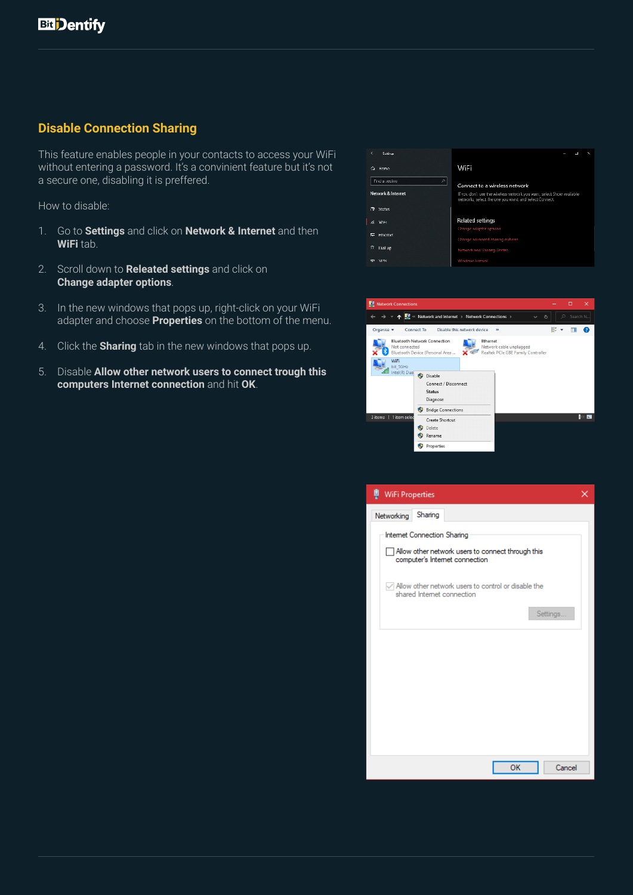## **Disable Connection Sharing**

This feature enables people in your contacts to access your WiFi without entering a password. It's a convinient feature but it's not a secure one, disabling it is preffered.

- 1. Go to **Settings** and click on **Network & Internet** and then **WiFi** tab.
- 2. Scroll down to **Releated settings** and click on **Change adapter options**.
- 3. In the new windows that pops up, right-click on your WiFi adapter and choose **Properties** on the bottom of the menu.
- 4. Click the **Sharing** tab in the new windows that pops up.
- 5. Disable **Allow other network users to connect trough this computers Internet connection** and hit **OK**.

| ¢<br>Suttings.              |                                                                                                                                 |
|-----------------------------|---------------------------------------------------------------------------------------------------------------------------------|
| Home<br>↷                   | WiFi                                                                                                                            |
| ρI<br><b>Find a setting</b> |                                                                                                                                 |
|                             | Connect to a wireless network                                                                                                   |
| Network & Internet          | If you don't see the wireless network you want, select Show available<br>networks, select the one you want, and select Connect. |
| <b>CD</b> Status            |                                                                                                                                 |
| WFL.<br>í6.                 | Related settings                                                                                                                |
|                             | Change adapter options                                                                                                          |
| <b>Hhemet</b>               | Change advanced sharing options                                                                                                 |
| n<br>Dial up                | Network and Shanng Centre.                                                                                                      |
| <b>Mal</b>                  | Windows Firewall                                                                                                                |

| Network Connections                                                                                                                                                         |    |   | $\times$ |
|-----------------------------------------------------------------------------------------------------------------------------------------------------------------------------|----|---|----------|
| <b>TO</b> « Network and Internet > Network Connections ><br>$\checkmark$                                                                                                    | Ō  | o | Search N |
| Disable this network device<br>Organise $\blacktriangleright$<br>Connect To<br>$\rightarrow$                                                                                | ŧΕ |   |          |
| <b>Bluetooth Network Connection</b><br><b>Ethernet</b><br>Not connected<br>Network cable unplugged<br>Realtek PCIe GBE Family Controller<br>Bluetooth Device (Personal Area |    |   |          |
| WiFi<br>bit 5GHz<br>Intel(R) Dual                                                                                                                                           |    |   |          |
| Disable<br>Connect / Disconnect<br><b>Status</b><br>Diagnose<br><b>Bridge Connections</b>                                                                                   |    |   |          |
| 3 items   1 item seled<br>Create Shortcut                                                                                                                                   |    |   | 8 E      |
| Delete<br>Rename                                                                                                                                                            |    |   |          |
| Properties                                                                                                                                                                  |    |   |          |

| WiFi Properties                                                                             |  |
|---------------------------------------------------------------------------------------------|--|
| Sharing<br>Networking                                                                       |  |
| Internet Connection Sharing                                                                 |  |
| Allow other network users to connect through this<br>computer's Internet connection         |  |
| $\sqrt{}$ Allow other network users to control or disable the<br>shared Internet connection |  |
| Settings                                                                                    |  |
|                                                                                             |  |
|                                                                                             |  |
|                                                                                             |  |
|                                                                                             |  |
|                                                                                             |  |
| OK<br>Cancel                                                                                |  |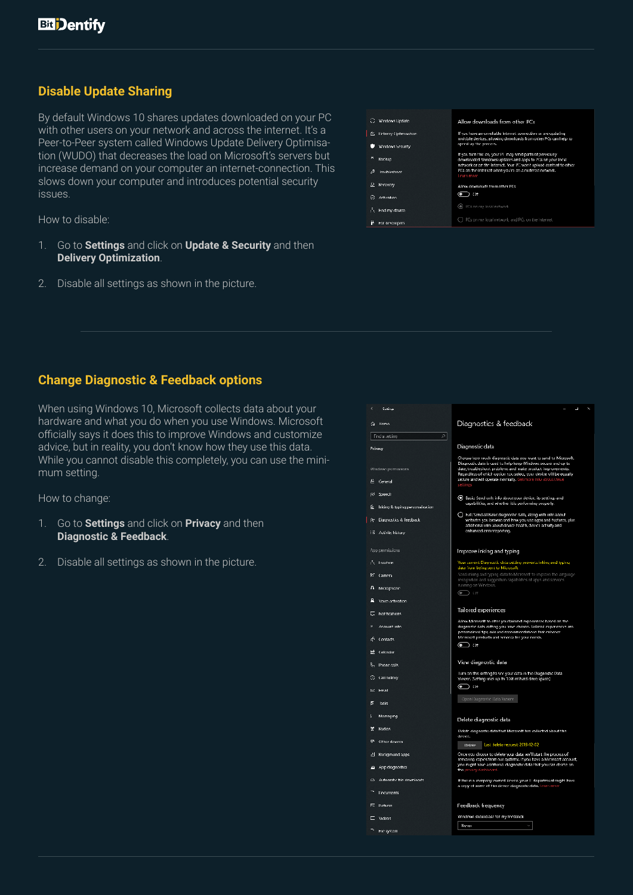# **Disable Update Sharing**

By default Windows 10 shares updates downloaded on your PC with other users on your network and across the internet. It's a Peer-to-Peer system called Windows Update Delivery Optimisation (WUDO) that decreases the load on Microsoft's servers but increase demand on your computer an internet-connection. This slows down your computer and introduces potential security issues.

How to disable:

- 1. Go to **Settings** and click on **Update & Security** and then **Delivery Optimization**.
- 2. Disable all settings as shown in the picture.



### **Change Diagnostic & Feedback options**

When using Windows 10, Microsoft collects data about your hardware and what you do when you use Windows. Microsoft officially says it does this to improve Windows and customize advice, but in reality, you don't know how they use this data. While you cannot disable this completely, you can use the minimum setting.

How to change:

- 1. Go to **Settings** and click on **Privacy** and then **Diagnostic & Feedback**.
- 2. Disable all settings as shown in the picture.

| Suttings                                   | ⊐                                                                                                                                                                                                                                                                                                                                  |
|--------------------------------------------|------------------------------------------------------------------------------------------------------------------------------------------------------------------------------------------------------------------------------------------------------------------------------------------------------------------------------------|
| Home<br>↷                                  | Diagnostics & feedback                                                                                                                                                                                                                                                                                                             |
| Ø.<br>Find a setting                       |                                                                                                                                                                                                                                                                                                                                    |
| Privacy                                    | Diagnostic data                                                                                                                                                                                                                                                                                                                    |
| Windows permissions<br>Ë<br>General        | Choose how much diagnostic data you want to send to Microsoft.<br>Diagnostic data is used to help keep Windows secure and up to<br>date, troubleshoot problems and make product improvements.<br>Regardless of which option you select, your device will be equally<br>secure and will operate normally. Get more info about these |
| R <sup>(</sup> Speech                      | setting                                                                                                                                                                                                                                                                                                                            |
|                                            | 10 Basic Send only info about your device, its settings and<br>capabilities, and whether it is performing properly.                                                                                                                                                                                                                |
| Inking & typing personalisation            | O Hult: Send all Basic diagnostic data, along with into about                                                                                                                                                                                                                                                                      |
| Diagnostics & Teedback<br>jу.              | websites you browse and how you use apps and features, plus<br>additional into about device bealth, device activity and                                                                                                                                                                                                            |
| <b>i</b> ii Adivity history                | enhanced error reporting.                                                                                                                                                                                                                                                                                                          |
| App permissions                            | Improve inking and typing                                                                                                                                                                                                                                                                                                          |
| $\tilde{f}_L$ Togation                     | Your current Diagnostic data setting prevents inking and typing<br>data from being sent to Microsoft.                                                                                                                                                                                                                              |
| ren<br>Camera                              | Send inlong and typing data to Microsoft to improve the language<br>recognition and suggestion capabilities of apps and services                                                                                                                                                                                                   |
| л<br>Microphone                            | running on Windows.<br>(•ை) ா                                                                                                                                                                                                                                                                                                      |
| ρ<br>Voice activation                      |                                                                                                                                                                                                                                                                                                                                    |
| <b>Notifications</b><br>г                  | Tailored experiences                                                                                                                                                                                                                                                                                                               |
| Account into                               | Allow Microsoft to offer you failared experiences based on the<br>diagnostic data setting you have chosen. lailored experiences are<br>presonalised tips, ads and recommendations that enhance                                                                                                                                     |
| æ.<br>Contacts                             | Microsoft products and services for your needs.<br>ᅊ<br>7) ংসা                                                                                                                                                                                                                                                                     |
| ᆎ<br>Calendar                              |                                                                                                                                                                                                                                                                                                                                    |
| 8. Phone calls                             | View diagnostic data                                                                                                                                                                                                                                                                                                               |
| Call history<br>ю                          | Turn on this setting to see your data in the Diagnostic Data<br>Viewer. (Setting uses up to 138 of hard dove space.)                                                                                                                                                                                                               |
| b4.<br>Email                               | ென                                                                                                                                                                                                                                                                                                                                 |
| É<br>Inche                                 | Open Diagnostic Data Viewer                                                                                                                                                                                                                                                                                                        |
| ι<br>Messaging                             | Delete diagnostic data                                                                                                                                                                                                                                                                                                             |
| Radios<br>п                                | Delete diagnostic data that Microsoft has collected about this                                                                                                                                                                                                                                                                     |
| 曱<br>Other devices                         | device.<br>Last delete request: 2019-12-02<br>Delete                                                                                                                                                                                                                                                                               |
| Background apps<br>싀                       | Once you choose to delete your data, we'll start the process of                                                                                                                                                                                                                                                                    |
| App diagnostics<br>F                       | removing copies from our systems. If you have a Microsoft account,<br>you might have additional diagnostic data that you can delete on.<br><mark>the pr</mark> vacy dashar                                                                                                                                                         |
| Automatic file downloads<br>$\ddot{\circ}$ | If this is a company owned device, your II department might have<br>a copy of some of this device diagnostic data. Learn me                                                                                                                                                                                                        |
| Documents                                  |                                                                                                                                                                                                                                                                                                                                    |
| F.<br><b>Pictures</b>                      | Feedback frequency                                                                                                                                                                                                                                                                                                                 |

Neve

 $\Box$  video

 $\bar{\gamma}$  . Fig. system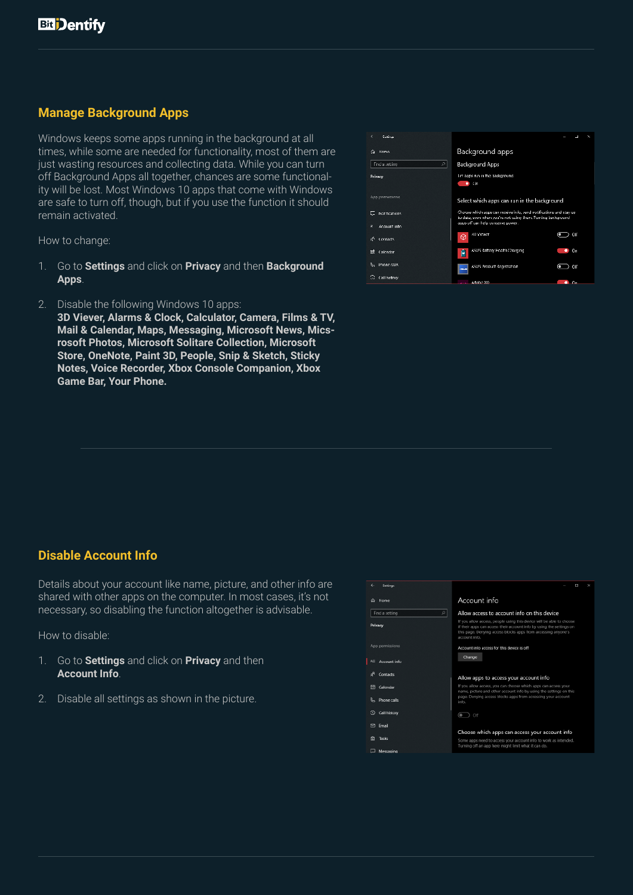# **Manage Background Apps**

Windows keeps some apps running in the background at all times, while some are needed for functionality, most of them are just wasting resources and collecting data. While you can turn off Background Apps all together, chances are some functionality will be lost. Most Windows 10 apps that come with Windows are safe to turn off, though, but if you use the function it should remain activated.

How to change:

- 1. Go to **Settings** and click on **Privacy** and then **Background Apps**.
- 2. Disable the following Windows 10 apps:

**3D Viever, Alarms & Clock, Calculator, Camera, Films & TV, Mail & Calendar, Maps, Messaging, Microsoft News, Micsrosoft Photos, Microsoft Solitare Collection, Microsoft Store, OneNote, Paint 3D, People, Snip & Sketch, Sticky Notes, Voice Recorder, Xbox Console Companion, Xbox Game Bar, Your Phone.**

| c<br>Suttings                      | ┚                                                                                                                                                                       |
|------------------------------------|-------------------------------------------------------------------------------------------------------------------------------------------------------------------------|
| Home<br>↷                          | Background apps                                                                                                                                                         |
| D.<br><b>Find a setting</b>        | Background Apps                                                                                                                                                         |
| Privacy                            | Tet apps run in the badgmund<br>Con<br>٠                                                                                                                                |
| App permissions                    | Select which apps can run in the background                                                                                                                             |
| Notifications<br>×<br>Account into | Choose which apps can receive info, send notifications and stay up<br>to date, even when you're not using them. Turning background<br>apps off can help conserve power. |
| A<br>Contacts                      | <b>SD Viewer</b><br>Off<br>൫                                                                                                                                            |
| H<br>Calendar                      | ASUS Battery Hoalth Charging<br>On<br>٠<br>Р                                                                                                                            |
| R.,<br>Phone calls                 | ASUS Product Registration<br>om<br>o<br>--                                                                                                                              |
| a<br>Call history                  | Adobe XD<br>Оu                                                                                                                                                          |

# **Disable Account Info**

Details about your account like name, picture, and other info are shared with other apps on the computer. In most cases, it's not necessary, so disabling the function altogether is advisable.

- 1. Go to **Settings** and click on **Privacy** and then **Account Info**.
- 2. Disable all settings as shown in the picture.

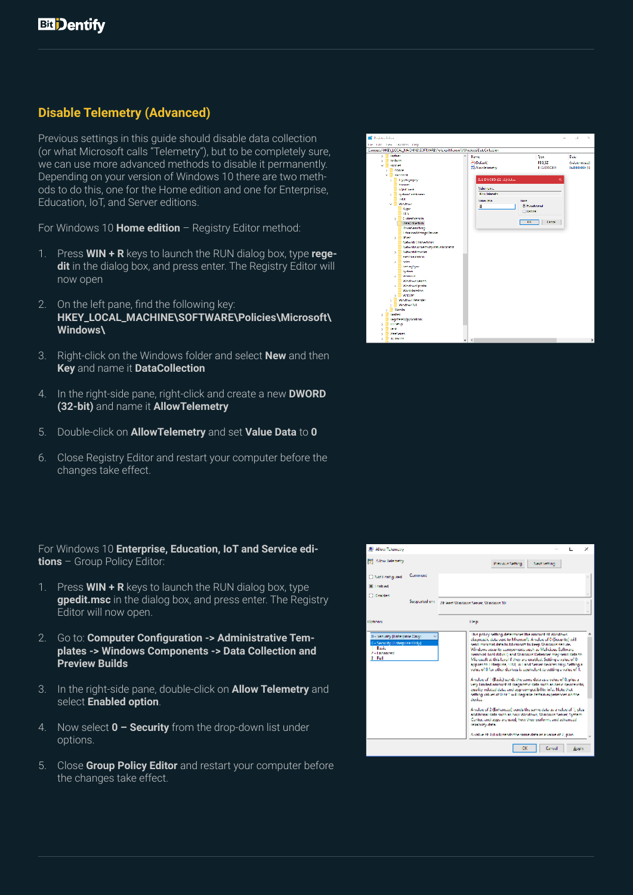# **Disable Telemetry (Advanced)**

Previous settings in this guide should disable data collection (or what Microsoft calls "Telemetry"), but to be completely sure, we can use more advanced methods to disable it permanently. Depending on your version of Windows 10 there are two methods to do this, one for the Home edition and one for Enterprise, Education, IoT, and Server editions.

For Windows 10 **Home edition** – Registry Editor method:

- 1. Press **WIN + R** keys to launch the RUN dialog box, type **regedit** in the dialog box, and press enter. The Registry Editor will now open
- 2. On the left pane, find the following key: **HKEY\_LOCAL\_MACHINE\SOFTWARE\Policies\Microsoft\ Windows\**
- 3. Right-click on the Windows folder and select **New** and then **Key** and name it **DataCollection**
- 4. In the right-side pane, right-click and create a new **DWORD (32-bit)** and name it **AllowTelemetry**
- 5. Double-click on **AllowTelemetry** and set **Value Data** to **0**
- 6. Close Registry Editor and restart your computer before the changes take effect.

#### For Windows 10 **Enterprise, Education, IoT and Service editions** – Group Policy Editor:

- 1. Press **WIN + R** keys to launch the RUN dialog box, type **gpedit.msc** in the dialog box, and press enter. The Registry Editor will now open.
- 2. Go to: **Computer Configuration -> Administrative Templates -> Windows Components -> Data Collection and Preview Builds**
- 3. In the right-side pane, double-click on **Allow Telemetry** and select **Enabled option**.
- 4. Now select **0 Security** from the drop-down list under options.
- 5. Close **Group Policy Editor** and restart your computer before the changes take effect.